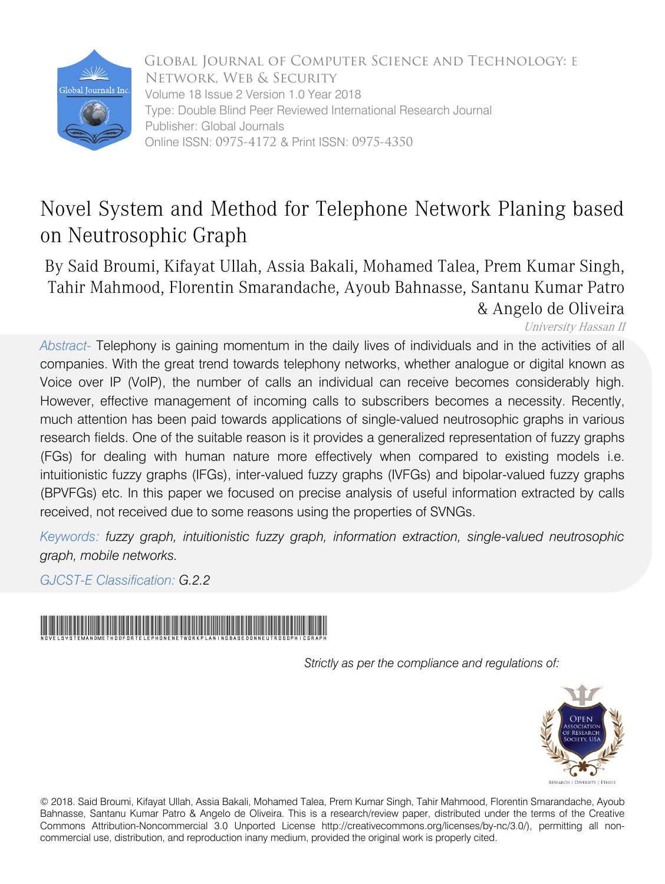

Global Journal of Computer Science and Technology: E Network, Web & Security Type: Double Blind Peer Reviewed International Research Journal Publisher: Global Journals Online ISSN: 0975-4172 & Print ISSN: 0975-4350 Volume 18 Issue 2 Version 1.0 Year 2018

# Novel System and Method for Telephone Network Planing based on Neutrosophic Graph

# By Said Broumi, Kifayat Ullah, Assia Bakali, Mohamed Talea, Prem Kumar Singh, Tahir Mahmood, Florentin Smarandache, Ayoub Bahnasse, Santanu Kumar Patro & Angelo de Oliveira

University Hassan II

*Abstract-* Telephony is gaining momentum in the daily lives of individuals and in the activities of all companies. With the great trend towards telephony networks, whether analogue or digital known as Voice over IP (VoIP), the number of calls an individual can receive becomes considerably high. However, effective management of incoming calls to subscribers becomes a necessity. Recently, much attention has been paid towards applications of single-valued neutrosophic graphs in various research fields. One of the suitable reason is it provides a generalized representation of fuzzy graphs (FGs) for dealing with human nature more effectively when compared to existing models i.e. intuitionistic fuzzy graphs (IFGs), inter-valued fuzzy graphs (IVFGs) and bipolar-valued fuzzy graphs (BPVFGs) etc. In this paper we focused on precise analysis of useful information extracted by calls received, not received due to some reasons using the properties of SVNGs.

*Keywords: fuzzy graph, intuitionistic fuzzy graph, information extraction, single-valued neutrosophic graph, mobile networks.* 

*GJCST-E Classification: G.2.2* 



 *Strictly as per the compliance and regulations of:*



© 2018. Said Broumi, Kifayat Ullah, Assia Bakali, Mohamed Talea, Prem Kumar Singh, Tahir Mahmood, Florentin Smarandache, Ayoub Bahnasse, Santanu Kumar Patro & Angelo de Oliveira. This is a research/review paper, distributed under the terms of the Creative Commons Attribution-Noncommercial 3.0 Unported License http://creativecommons.org/licenses/by-nc/3.0/), permitting all noncommercial use, distribution, and reproduction inany medium, provided the original work is properly cited.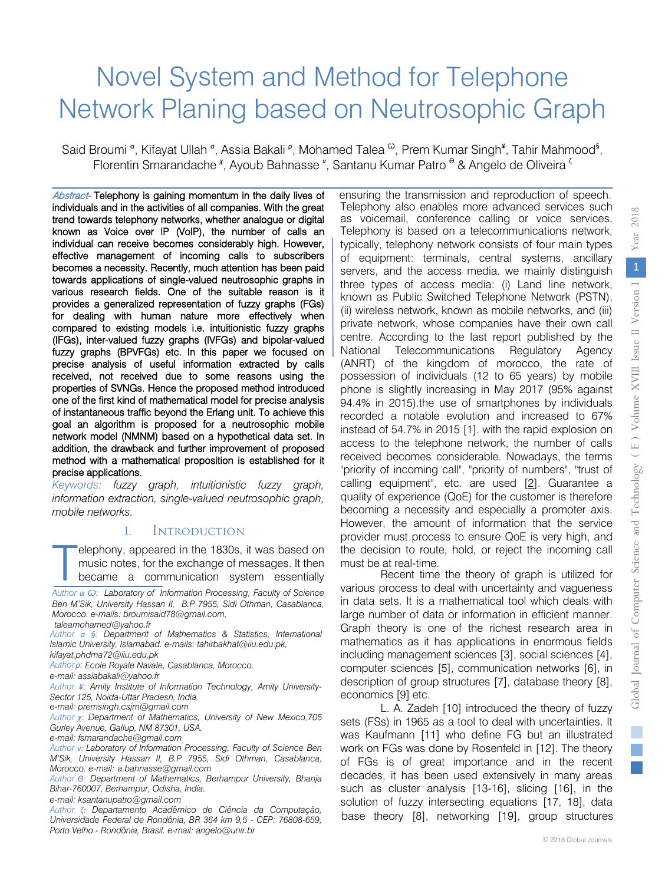# Novel System and Method for Telephone Network Planing based on Neutrosophic Graph

Said Broumi <sup>α</sup>, Kifayat Ullah <sup>σ</sup>, Assia Bakali <sup>ρ</sup>, Mohamed Talea <sup>ω</sup>, Prem Kumar Singh<sup>¥</sup>, Tahir Mahmood<sup>§</sup>, Florentin Smarandache <sup>x</sup>, Ayoub Bahnasse <sup>v</sup>, Santanu Kumar Patro <sup>e</sup> & Angelo de Oliveira <sup>*τ*</sup>

Abstract- Telephony is gaining momentum in the daily lives of of instantaneous traffic beyond the Erlang unit. To achieve this individuals and in the activities of all companies. With the great trend towards [telephony networks, wh](mailto:broumisaid78@gmail.com)[ether analogue or digita](mailto:taleamohamed@yahoo.fr)l known as Voice over IP (VoIP), the number of calls an [individual can receive be](mailto:kifayat.phdma72@iiu.edu.pk)comes consid[erably high. However,](mailto:tahirbakhat@iiu.edu.pk)  effective management of incoming calls to subscribers beco[mes a necessity. Rec](mailto:assiabakali@yahoo.fr)ently, much attention has been paid towards applications of single-valued neutrosophic graphs in various research fields. One of the suitable reason is it provi[des a generalized represen](mailto:premsingh.csjm@gmail.com)tation of fuzzy graphs (FGs) for dealing with human nature more effectively when compared to existing models i.e. intuitionistic fuzzy graphs (IFGs[\), inter-valued fuzzy grap](mailto:fsmarandache@gmail.com)hs (IVFGs) and bipolar-valued fuzzy graphs (BPVFGs) etc. In this paper we focused on precise analysis of useful information extracted by calls received, not received due to some reasons using the properties of SVNGs. Hence the proposed method introduced one of the first kind of mathematical model for precise analysis goal an algorithm is proposed for a neutrosophic mobile network model (NMNM) based on a hypothetical data set. In addition, the drawback and further improvement of proposed method with a mathematical proposition is established for it precise applications.

*Keywords: fuzzy graph, intuitionistic fuzzy graph, information extraction, single-valued neutrosophic graph, mobile networks.*

#### I. Introduction

elephony, appeared in the 1830s, it was based on music notes, for the exchange of messages. It then<br>became a communication system essentially

*Author ρ: Ecole Royale Navale, Casablanca, Morocco.*

 *Author ¥: Amity Institute of Information Technology, Amity University-Sector 125, Noida-Uttar Pradesh, India.*

*Author χ: Department of Mathematics, University of New Mexico,705 Gurley Avenue, Gallup, NM 87301, USA.*

*e-mail: fsmarandache@gmail.com*

*Author ν: Laboratory of Information Processing, Faculty of Science Ben M'Sik, University Hassan II, B.P 7955, Sidi Othman, Casablanca, Morocco. e-mail: a.bahnasse@gmail.com*

*Author Ѳ: Department of Mathematics, Berhampur University, Bhanja Bihar-760007, Berhampur, Odisha, India.* 

*e-mail: ksantanupatro@gmail.com*

*Author ζ: Departamento Acadêmico de Ciência da Computação, Universidade Federal de Rondônia, BR 364 km 9,5 - CEP: 76808-659, Porto Velho - Rondônia, Brasil. e-mail: angelo@unir.br*

ensuring the transmission and reproduction of speech. Telephony also enables more advanced services such as voicemail, conference calling or voice services. Telephony is based on a telecommunications network, typically, telephony network consists of four main types of equipment: terminals, central systems, ancillary servers, and the access media. we mainly distinguish three types of access media: (i) Land line network, known as Public Switched Telephone Network (PSTN), (ii) wireless network, known as mobile networks, and (iii) private network, whose companies have their own call centre. According to the last report published by the National Telecommunications Regulatory Agency (ANRT) of the kingdom of morocco, the rate of possession of individuals (12 to 65 years) by mobile phone is slightly increasing in May 2017 (95% against 94.4% in 2015).the use of smartphones by individuals recorded a notable evolution and increased to 67% instead of 54.7% in 2015 [1]. with the rapid explosion on access to the telephone network, the number of calls received becomes considerable. Nowadays, the terms "priority of incoming call", "priority of numbers", "trust of calling equipment", etc. are used [\[2\]](https://encrypted.google.com/patents/CN101102362A?cl=en). Guarantee a quality of experience (QoE) for the customer is therefore becoming a necessity and especially a promoter axis. However, the amount of information that the service provider must process to ensure QoE is very high, and the decision to route, hold, or reject the incoming call must be at real-time.

Recent time the theory of graph is utilized for various process to deal with uncertainty and vagueness in data sets. It is a mathematical tool which deals with large number of data or information in efficient manner. Graph theory is one of the richest research area in mathematics as it has applications in enormous fields including management sciences [3], social sciences [4], computer sciences [5], communication networks [6], in description of group structures [7], database theory [8], economics [9] etc.

L. A. Zadeh [10] introduced the theory of fuzzy sets (FSs) in 1965 as a tool to deal with uncertainties. It was Kaufmann [11] who define FG but an illustrated work on FGs was done by Rosenfeld in [12]. The theory of FGs is of great importance and in the recent decades, it has been used extensively in many areas such as cluster analysis [13-16], slicing [16], in the solution of fuzzy intersecting equations [17, 18], data base theory [8], networking [19], group structures

*Author α Ѡ: Laboratory of Information Processing, Faculty of Science Ben M'Sik, University Hassan II, B.P 7955, Sidi Othman, Casablanca, Morocco. e-mails: broumisaid78@gmail.com,*

*taleamohamed@yahoo.fr*

*Author σ §: Department of Mathematics & Statistics, International Islamic University, Islamabad. e-mails: tahirbakhat@iiu.edu.pk,*

*kifayat.phdma72@iiu.edu.pk*

*e-mail: assiabakali@yahoo.fr*

*e-mail: premsingh.csjm@gmail.com*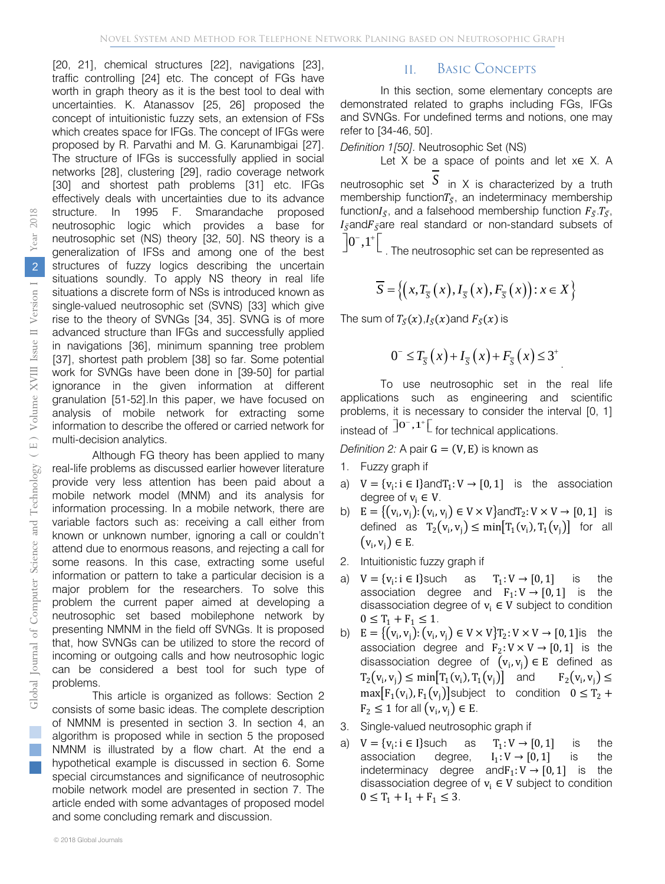[20, 21], chemical structures [22], navigations [23], traffic controlling [24] etc. The concept of FGs have worth in graph theory as it is the best tool to deal with uncertainties. K. Atanassov [25, 26] proposed the concept of intuitionistic fuzzy sets, an extension of FSs which creates space for IFGs. The concept of IFGs were proposed by R. Parvathi and M. G. Karunambigai [27]. The structure of IFGs is successfully applied in social networks [28], clustering [29], radio coverage network [30] and shortest path problems [31] etc. IFGs effectively deals with uncertainties due to its advance structure. In 1995 F. Smarandache proposed neutrosophic logic which provides a base for neutrosophic set (NS) theory [32, 50]. NS theory is a generalization of IFSs and among one of the best structures of fuzzy logics describing the uncertain situations soundly. To apply NS theory in real life situations a discrete form of NSs is introduced known as single-valued neutrosophic set (SVNS) [33] which give rise to the theory of SVNGs [34, 35]. SVNG is of more advanced structure than IFGs and successfully applied in navigations [36], minimum spanning tree problem [37], shortest path problem [38] so far. Some potential work for SVNGs have been done in [39-50] for partial ignorance in the given information at different granulation [51-52].In this paper, we have focused on analysis of mobile network for extracting some information to describe the offered or carried network for multi-decision analytics.

Although FG theory has been applied to many real-life problems as discussed earlier however literature provide very less attention has been paid about a mobile network model (MNM) and its analysis for information processing. In a mobile network, there are variable factors such as: receiving a call either from known or unknown number, ignoring a call or couldn't attend due to enormous reasons, and rejecting a call for some reasons. In this case, extracting some useful information or pattern to take a particular decision is a major problem for the researchers. To solve this problem the current paper aimed at developing a neutrosophic set based mobilephone network by presenting NMNM in the field off SVNGs. It is proposed that, how SVNGs can be utilized to store the record of incoming or outgoing calls and how neutrosophic logic can be considered a best tool for such type of problems.

This article is organized as follows: Section 2 consists of some basic ideas. The complete description of NMNM is presented in section 3. In section 4, an algorithm is proposed while in section 5 the proposed NMNM is illustrated by a flow chart. At the end a hypothetical example is discussed in section 6. Some special circumstances and significance of neutrosophic mobile network model are presented in section 7. The article ended with some advantages of proposed model and some concluding remark and discussion.

#### II. Basic Concepts

In this section, some elementary concepts are demonstrated related to graphs including FGs, IFGs and SVNGs. For undefined terms and notions, one may refer to [34-46, 50].

*Definition 1[50].* Neutrosophic Set (NS)

Let X be a space of points and let x∈ X. A neutrosophic set  $S$  in  $X$  is characterized by a truth membership function $T_{\overline{S}}$ , an indeterminacy membership function $I_{\bar{S}}$ , and a falsehood membership function  $F_{\bar{S}}$ ,  $T_{\bar{S}}$ ,  $I_{\bar{S}}$ and $F_{\bar{S}}$ are real standard or non-standard subsets of

 $\left[\right]$ 0<sup>-</sup>,1<sup>+</sup>  $\left[\right]$ <sub>.</sub> The neutrosophic set can be represented as

$$
\overline{S} = \left\{ \left( x, T_{\overline{S}}(x), I_{\overline{S}}(x), F_{\overline{S}}(x) \right) : x \in X \right\}
$$

The sum of  $T_{\bar{S}}(x)$ , $I_{\bar{S}}(x)$  and  $F_{\bar{S}}(x)$  is

$$
0^{-} \leq T_{\overline{S}}(x) + I_{\overline{S}}(x) + F_{\overline{S}}(x) \leq 3^{+}
$$

To use neutrosophic set in the real life applications such as engineering and scientific problems, it is necessary to consider the interval [0, 1] instead of  $\overline{\begin{bmatrix} 0^{-},1^{+} \end{bmatrix}}$  for technical applications.

*Definition 2:* A pair  $G = (V, E)$  is known as

- 1. Fuzzy graph if
- a)  $V = \{v_i : i \in I\}$ and $T_1: V \rightarrow [0, 1]$  is the association degree of  $v_i \in V$ .
- b)  $E = \{(v_i, v_i): (v_i, v_i) \in V \times V\}$ and $T_2: V \times V \rightarrow [0, 1]$  is defined as  $T_2(v_i, v_i) \leq \min[T_1(v_i), T_1(v_i)]$  for all  $(v_i, v_i) \in E$ .
- 2. Intuitionistic fuzzy graph if
- a)  $V = {v_i : i \in I}$ such as  $T_1: V \rightarrow [0, 1]$  is the association degree and  $F_1: V \rightarrow [0, 1]$  is the disassociation degree of  $v_i \in V$  subject to condition  $0 \leq T_1 + F_1 \leq 1$ .
- b)  $E = \{(v_i, v_i): (v_i, v_i) \in V \times V\}$  $T_2: V \times V \rightarrow [0, 1]$ is the association degree and  $F_2: V \times V \rightarrow [0, 1]$  is the disassociation degree of  $(v_i, v_j) \in E$  defined as  $T_2(v_i, v_i) \le \min[T_1(v_i), T_1(v_i)]$  and  $F_2(v_i, v_i) \le$  $T_2(v_i, v_i) \le \min[T_1(v_i), T_1(v_i)]$  and  $max[F_1(v_i), F_1(v_i)]$ subject to condition  $0 \leq T_2 +$  $F_2 \leq 1$  for all  $(v_i, v_i) \in E$ .
- 3. Single-valued neutrosophic graph if
- a)  $V = {v_i : i \in I}$ such as  $T_1: V \rightarrow [0, 1]$  is the association degree,  $I_1: V \rightarrow [0, 1]$  is the association degree,  $I_1: V \rightarrow [0, 1]$  is the indeterminacy degree and  $F_1: V \rightarrow [0, 1]$  is the disassociation degree of  $v_i \in V$  subject to condition  $0 \leq T_1 + I_1 + F_1 \leq 3$ .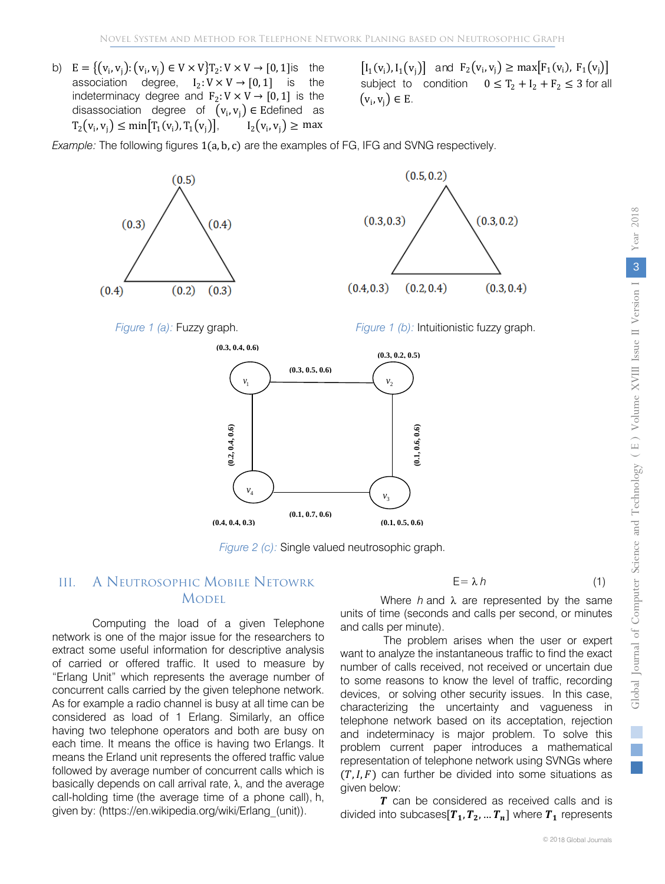b)  $E = \{ (v_i, v_j) : (v_i, v_j) \in V \times V \}$   $T_2: V \times V \rightarrow [0, 1]$  is the association degree.  $I_2: V \times V \rightarrow [0, 1]$  is the association degree,  $I_2: V \times V \rightarrow [0, 1]$  is indeterminacy degree and  $F_2: V \times V \rightarrow [0, 1]$  is the disassociation degree of  $(v_i, v_j) \in$  Edefined as  $T_2(v_i, v_i) \le \min[T_1(v_i), T_1(v_i)]$ ,  $I_2(v_i, v_i) \ge \max$  $T_2(v_i, v_i) \leq \min[T_1(v_i), T_1(v_i)],$ 

 $[I_1(v_i), I_1(v_j)]$  and  $F_2(v_i, v_j) \ge \max[F_1(v_i), F_1(v_j)]$ subject to condition  $0 \leq T_2 + I_2 + F_2 \leq 3$  for all  $(v_i, v_i) \in E$ .

*Example:* The following figures  $1(a, b, c)$  are the examples of FG, IFG and SVNG respectively.



*Figure 2 (c):* Single valued neutrosophic graph.

# III. A Neutrosophic Mobile Netowrk MODEL.

Computing the load of a given Telephone network is one of the major issue for the researchers to extract some useful information for descriptive analysis of carried or offered traffic. It used to measure by "Erlang Unit" which represents the average number of concurrent calls carried by the given telephone network. As for example a radio channel is busy at all time can be considered as load of 1 Erlang. Similarly, an office having two telephone operators and both are busy on each time. It means the office is having two Erlangs. It means the Erland unit represents the offered traffic value followed by average number of concurrent calls which is basically depends on call arrival rate, λ, and the average call-holding time (the average time of a phone call), h, given by: [\(https://en.wikipedia.org/wiki/Erlang\\_\(unit\)\)](https://en.wikipedia.org/wiki/Erlang_(unit)).

$$
E = \lambda h \tag{1}
$$

Where *h* and λ are represented by the same units of time (seconds and calls per second, or minutes and calls per minute).

The problem arises when the user or expert want to analyze the instantaneous traffic to find the exact number of calls received, not received or uncertain due to some reasons to know the level of traffic, recording devices, or solving other security issues. In this case, characterizing the uncertainty and vagueness in telephone network based on its acceptation, rejection and indeterminacy is major problem. To solve this problem current paper introduces a mathematical representation of telephone network using SVNGs where  $(T, I, F)$  can further be divided into some situations as given below:

 *can be considered as received calls and is* divided into subcases  $[T_1, T_2, ... T_n]$  where  $T_1$  represents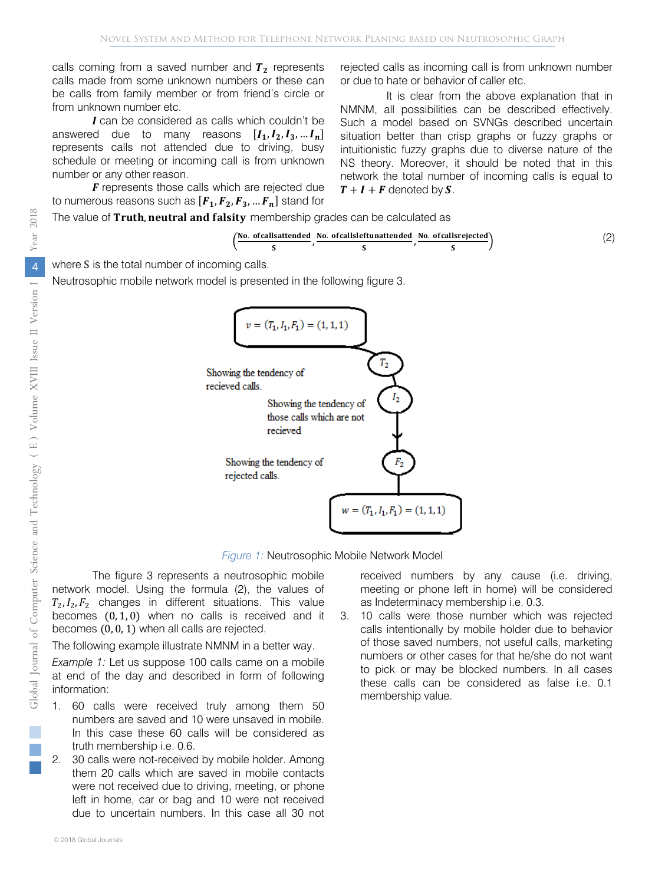calls coming from a saved number and  $T_2$  represents calls made from some unknown numbers or these can be calls from family member or from friend's circle or from unknown number etc.

I can be considered as calls which couldn't be answered due to many reasons  $[I_1, I_2, I_3, ... I_n]$ represents calls not attended due to driving, busy schedule or meeting or incoming call is from unknown number or any other reason.

 $\bm{F}$  represents those calls which are rejected due to numerous reasons such as  $[F_1, F_2, F_3, ... F_n]$  stand for

rejected calls as incoming call is from unknown number or due to hate or behavior of caller etc.

 $T + I + F$  denoted by  $S$ . It is clear from the above explanation that in NMNM, all possibilities can be described effectively. Such a model based on SVNGs described uncertain situation better than crisp graphs or fuzzy graphs or intuitionistic fuzzy graphs due to diverse nature of the NS theory. Moreover, it should be noted that in this network the total number of incoming calls is equal to

The value of Truth, neutral and falsity membership grades can be calculated as

$$
\left(\frac{\text{No. of calls attended}}{S}, \frac{\text{No. of callsleftunattended}}{S}, \frac{\text{No. of calls rejected}}{S}\right) \tag{2}
$$

where S is the total number of incoming calls.

Neutrosophic mobile network model is presented in the following figure 3.



*Figure 1:* Neutrosophic Mobile Network Model

The figure 3 represents a neutrosophic mobile network model. Using the formula (2), the values of  $T_2, I_2, F_2$  changes in different situations. This value becomes  $(0, 1, 0)$  when no calls is received and it becomes (0, 0, 1) when all calls are rejected.

The following example illustrate NMNM in a better way.

*Example 1:* Let us suppose 100 calls came on a mobile at end of the day and described in form of following information:

- 1. 60 calls were received truly among them 50 numbers are saved and 10 were unsaved in mobile. In this case these 60 calls will be considered as truth membership i.e. 0.6.
- 2. 30 calls were not-received by mobile holder. Among them 20 calls which are saved in mobile contacts were not received due to driving, meeting, or phone left in home, car or bag and 10 were not received due to uncertain numbers. In this case all 30 not

received numbers by any cause (i.e. driving, meeting or phone left in home) will be considered as Indeterminacy membership i.e. 0.3.

3. 10 calls were those number which was rejected calls intentionally by mobile holder due to behavior of those saved numbers, not useful calls, marketing numbers or other cases for that he/she do not want to pick or may be blocked numbers. In all cases these calls can be considered as false i.e. 0.1 membership value.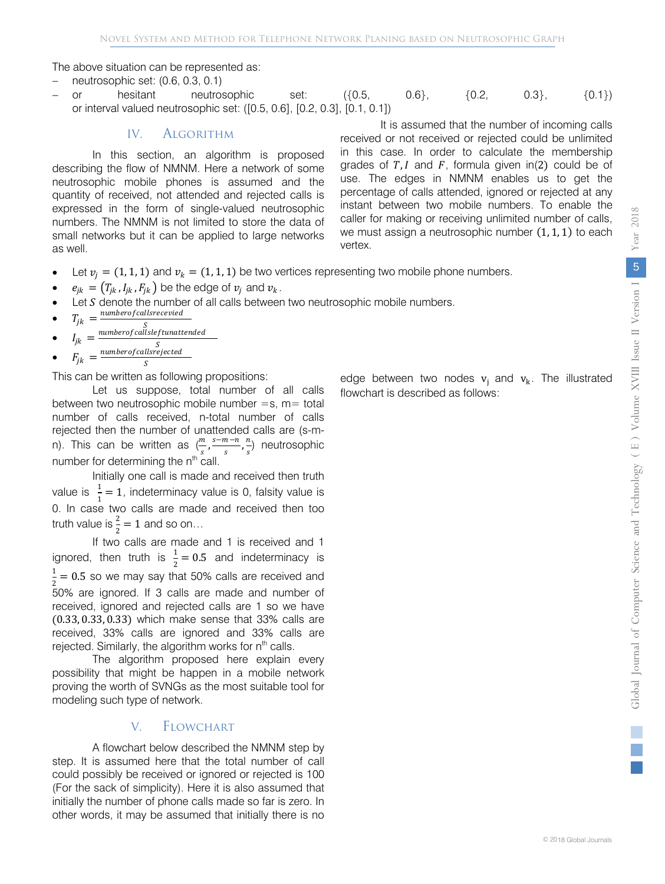The above situation can be represented as:

- − neutrosophic set: (0.6, 0.3, 0.1)
- − or hesitant neutrosophic set: ({0.5, 0.6}, {0.2, 0.3}, {0.1}) or interval valued neutrosophic set: ([0.5, 0.6], [0.2, 0.3], [0.1, 0.1])

#### IV. ALGORITHM

In this section, an algorithm is proposed describing the flow of NMNM. Here a network of some neutrosophic mobile phones is assumed and the quantity of received, not attended and rejected calls is expressed in the form of single-valued neutrosophic numbers. The NMNM is not limited to store the data of small networks but it can be applied to large networks as well.

It is assumed that the number of incoming calls received or not received or rejected could be unlimited in this case. In order to calculate the membership grades of  $T$ ,  $I$  and  $F$ , formula given in(2) could be of use. The edges in NMNM enables us to get the percentage of calls attended, ignored or rejected at any instant between two mobile numbers. To enable the caller for making or receiving unlimited number of calls, we must assign a neutrosophic number  $(1, 1, 1)$  to each vertex.

- Let  $v_i = (1, 1, 1)$  and  $v_k = (1, 1, 1)$  be two vertices representing two mobile phone numbers.
- $e_{jk} = (T_{jk}, I_{jk}, F_{jk})$  be the edge of  $v_j$  and  $v_k$ .
- Let *S* denote the number of all calls between two neutrosophic mobile numbers.<br> $T =$  numberofcalls recevied
- 
- $T_{jk} = \frac{number of \, call \, is received}}{S}$ <br>•  $I_{jk} = \frac{number of \, calls left unattended}}{S}$

$$
F = \frac{numberof calls rejected}{}
$$

 $F_{jk}$  =  $\overline{s}$ 

This can be written as following propositions:

Let us suppose, total number of all calls between two neutrosophic mobile number  $=s$ ,  $m=$  total number of calls received, n-total number of calls rejected then the number of unattended calls are (s-mn). This can be written as  $(\frac{m}{s}, \frac{s-m-n}{s}, \frac{n}{s})$  neutrosophic number for determining the n<sup>th</sup> call.

Initially one call is made and received then truth value is  $\frac{1}{1}$  = 1, indeterminacy value is 0, falsity value is 1 0. In case two calls are made and received then too truth value is  $\frac{2}{2} = 1$  and so on...

If two calls are made and 1 is received and 1 ignored, then truth is  $\frac{1}{2} = 0.5$  and indeterminacy is  $\frac{1}{2}$  = 0.5 so we may say that 50% calls are received and 50% are ignored. If 3 calls are made and number of received, ignored and rejected calls are 1 so we have (0.33, 0.33, 0.33) which make sense that 33% calls are received, 33% calls are ignored and 33% calls are rejected. Similarly, the algorithm works for  $n<sup>th</sup>$  calls.

The algorithm proposed here explain every possibility that might be happen in a mobile network proving the worth of SVNGs as the most suitable tool for modeling such type of network.

#### V. Flowchart

A flowchart below described the NMNM step by step. It is assumed here that the total number of call could possibly be received or ignored or rejected is 100 (For the sack of simplicity). Here it is also assumed that initially the number of phone calls made so far is zero. In other words, it may be assumed that initially there is no edge between two nodes  $v_i$  and  $v_k$ . The illustrated flowchart is described as follows: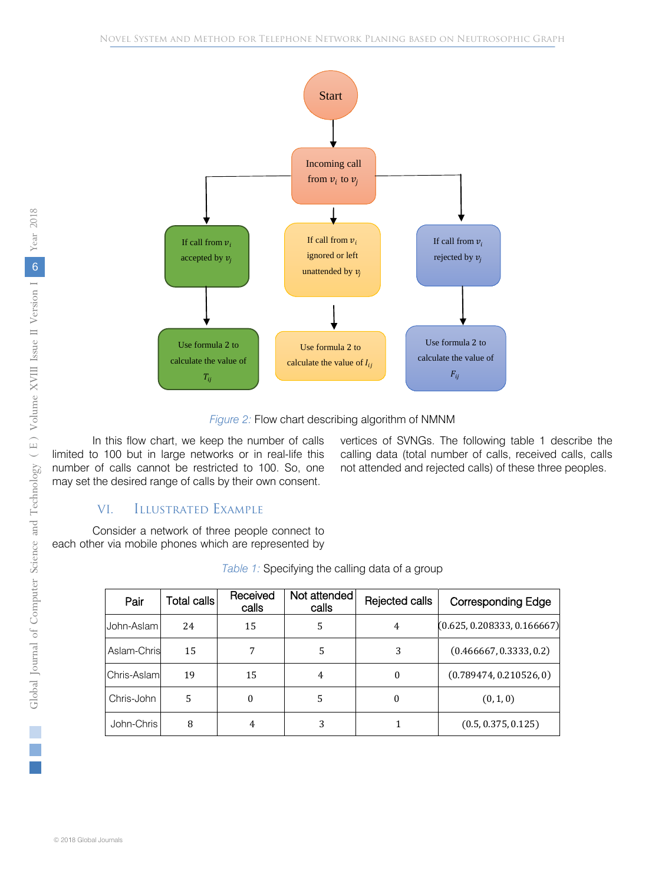

*Figure 2:* Flow chart describing algorithm of NMNM

In this flow chart, we keep the number of calls limited to 100 but in large networks or in real-life this number of calls cannot be restricted to 100. So, one may set the desired range of calls by their own consent.

vertices of SVNGs. The following table 1 describe the calling data (total number of calls, received calls, calls not attended and rejected calls) of these three peoples.

# VI. Illustrated Example

Consider a network of three people connect to each other via mobile phones which are represented by

| Pair        | Total calls | Received<br>calls | Not attended<br>calls | Rejected calls | <b>Corresponding Edge</b>   |
|-------------|-------------|-------------------|-----------------------|----------------|-----------------------------|
| John-Aslam  | 24          | 15                | 5                     | 4              | (0.625, 0.208333, 0.166667) |
| Aslam-Chris | 15          |                   | 5                     | 3              | (0.466667, 0.3333, 0.2)     |
| Chris-Aslam | 19          | 15                | 4                     | 0              | (0.789474, 0.210526, 0)     |
| Chris-John  | 5           | $\theta$          | 5                     | $\theta$       | (0, 1, 0)                   |
| John-Chris  | 8           | 4                 | 3                     |                | (0.5, 0.375, 0.125)         |

| Table 1: Specifying the calling data of a group |  |  |  |
|-------------------------------------------------|--|--|--|
|                                                 |  |  |  |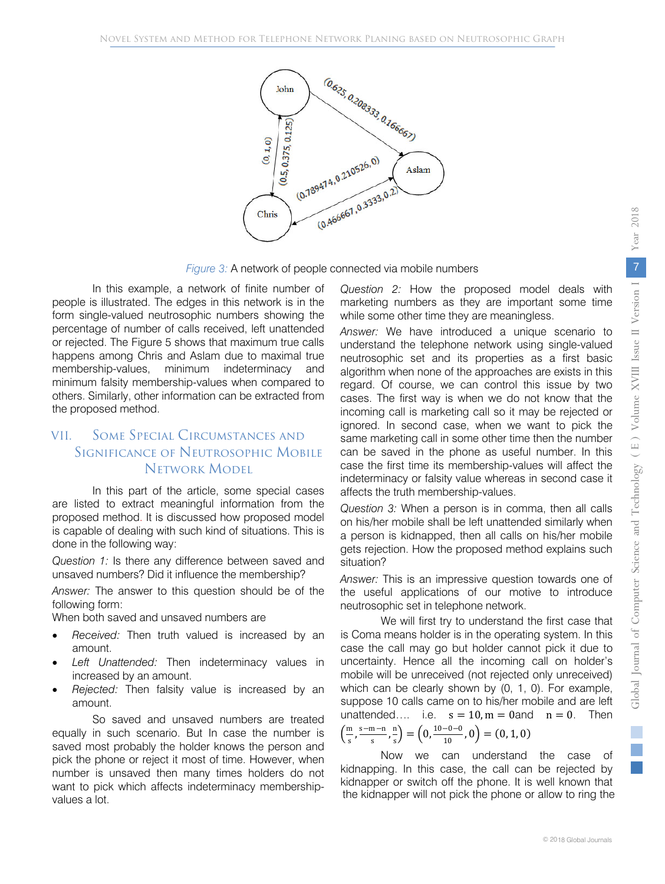

*Figure 3:* A network of people connected via mobile numbers

In this example, a network of finite number of people is illustrated. The edges in this network is in the form single-valued neutrosophic numbers showing the percentage of number of calls received, left unattended or rejected. The Figure 5 shows that maximum true calls happens among Chris and Aslam due to maximal true membership-values, minimum indeterminacy and minimum falsity membership-values when compared to others. Similarly, other information can be extracted from the proposed method.

# VII. Some Special Circumstances and Significance of Neutrosophic Mobile Network Model

In this part of the article, some special cases are listed to extract meaningful information from the proposed method. It is discussed how proposed model is capable of dealing with such kind of situations. This is done in the following way:

*Question 1:* Is there any difference between saved and unsaved numbers? Did it influence the membership?

*Answer:* The answer to this question should be of the following form:

When both saved and unsaved numbers are

- *Received:* Then truth valued is increased by an amount.
- Left Unattended: Then indeterminacy values in increased by an amount.
- *Rejected:* Then falsity value is increased by an amount.

So saved and unsaved numbers are treated equally in such scenario. But In case the number is saved most probably the holder knows the person and pick the phone or reject it most of time. However, when number is unsaved then many times holders do not want to pick which affects indeterminacy membershipvalues a lot.

*Question 2:* How the proposed model deals with marketing numbers as they are important some time while some other time they are meaningless.

*Answer:* We have introduced a unique scenario to understand the telephone network using single-valued neutrosophic set and its properties as a first basic algorithm when none of the approaches are exists in this regard. Of course, we can control this issue by two cases. The first way is when we do not know that the incoming call is marketing call so it may be rejected or ignored. In second case, when we want to pick the same marketing call in some other time then the number can be saved in the phone as useful number. In this case the first time its membership-values will affect the indeterminacy or falsity value whereas in second case it affects the truth membership-values.

*Question 3:* When a person is in comma, then all calls on his/her mobile shall be left unattended similarly when a person is kidnapped, then all calls on his/her mobile gets rejection. How the proposed method explains such situation?

*Answer:* This is an impressive question towards one of the useful applications of our motive to introduce neutrosophic set in telephone network.

We will first try to understand the first case that is Coma means holder is in the operating system. In this case the call may go but holder cannot pick it due to uncertainty. Hence all the incoming call on holder's mobile will be unreceived (not rejected only unreceived) which can be clearly shown by (0, 1, 0). For example, suppose 10 calls came on to his/her mobile and are left unattended…. i.e.  $s = 10$ ,  $m = 0$  and  $n = 0$ . Then

$$
\left(\frac{\text{m}}{\text{s}}, \frac{\text{s-m-n}}{\text{s}}, \frac{\text{n}}{\text{s}}\right) = \left(0, \frac{10 - 0 - 0}{10}, 0\right) = (0, 1, 0)
$$

Now we can understand the case of kidnapping. In this case, the call can be rejected by kidnapper or switch off the phone. It is well known that the kidnapper will not pick the phone or allow to ring the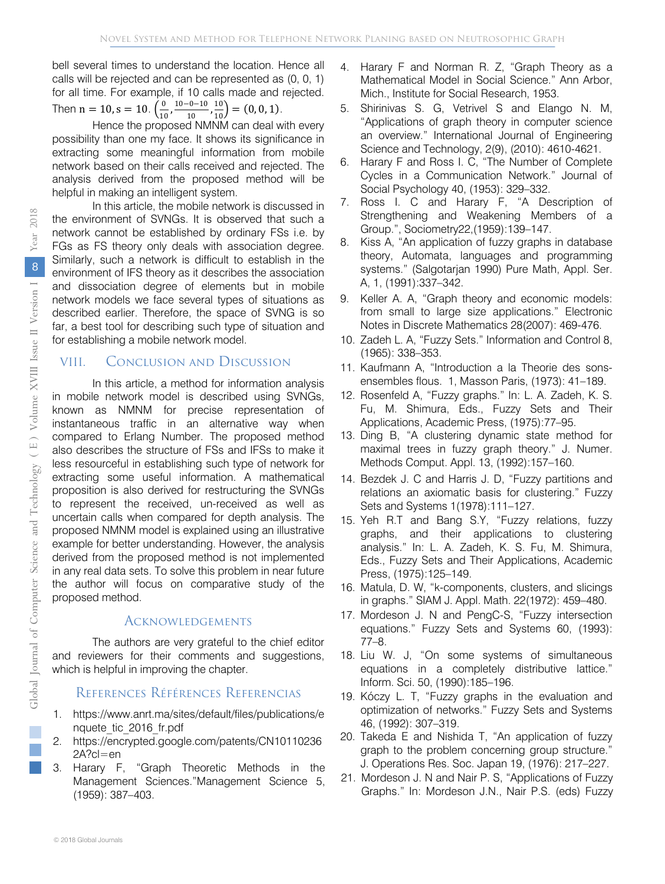bell several times to understand the location. Hence all calls will be rejected and can be represented as (0, 0, 1) for all time. For example, if 10 calls made and rejected. Then  $n = 10$ ,  $s = 10$ .  $\left(\frac{0}{10}, \frac{10 - 0 - 10}{10}, \frac{10}{10}\right) = (0, 0, 1)$ .

Hence the proposed NMNM can deal with every possibility than one my face. It shows its significance in extracting some meaningful information from mobile network based on their calls received and rejected. The analysis derived from the proposed method will be helpful in making an intelligent system.

In this article, the mobile network is discussed in the environment of SVNGs. It is observed that such a network cannot be established by ordinary FSs i.e. by FGs as FS theory only deals with association degree. Similarly, such a network is difficult to establish in the environment of IFS theory as it describes the association and dissociation degree of elements but in mobile network models we face several types of situations as described earlier. Therefore, the space of SVNG is so far, a best tool for describing such type of situation and for establishing a mobile network model.

## VIII. Conclusion and Discussion

In this article, a method for information analysis in mobile network model is described using SVNGs, known as NMNM for precise representation of instantaneous traffic in an alternative way when compared to Erlang Number. The proposed method also describes the structure of FSs and IFSs to make it less resourceful in establishing such type of network for extracting some useful information. A mathematical proposition is also derived for restructuring the SVNGs to represent the received, un-received as well as uncertain calls when compared for depth analysis. The proposed NMNM model is explained using an illustrative example for better understanding. However, the analysis derived from the proposed method is not implemented in any real data sets. To solve this problem in near future the author will focus on comparative study of the proposed method.

### **ACKNOWLEDGEMENTS**

The authors are very grateful to the chief editor and reviewers for their comments and suggestions, which is helpful in improving the chapter.

### References Références Referencias

- 1. https://www.anrt.ma/sites/default/files/publications/e nquete\_tic\_2016\_fr.pdf
- 2. https://encrypted.google.com/patents/CN10110236 2A?cl=en
- 3. [Harary F, "Graph Theoretic Methods in the](https://www.anrt.ma/sites/default/files/publications/enquete_tic_2016_fr.pdf)  [Management Sciences](https://www.anrt.ma/sites/default/files/publications/enquete_tic_2016_fr.pdf)."Management Science 5, [\(1959\): 387–403.](https://encrypted.google.com/patents/CN101102362A?cl=en)
- Mich., Institute for Social Research, 1953. 4. Harary F and Norman R. Z, "Graph Theory as a Mathematical Model in Social Science." Ann Arbor,
- 5. Shirinivas S. G, Vetrivel S and Elango N. M, "Applications of graph theory in computer science an overview." International Journal of Engineering Science and Technology, 2(9), (2010): 4610-4621.
- Social Psychology 40, (1953): 329–332. 6. Harary F and Ross I. C, "The Number of Complete Cycles in a Communication Network." Journal of
- Group.", Sociometry22,(1959):139–147. 7. Ross I. C and Harary F, "A Description of Strengthening and Weakening Members of a
- 8. Kiss A, "An application of fuzzy graphs in database theory, Automata, languages and programming systems." (Salgotarjan 1990) Pure Math, Appl. Ser. A, 1, (1991):337–342.
- 9. Keller A. A, "Graph theory and economic models: from small to large size applications." Electronic Notes in Discrete Mathematics 28(2007): 469-476.
- 10. Zadeh L. A, "Fuzzy Sets." Information and Control 8, (1965): 338–353.
- 11. Kaufmann A, "Introduction a la Theorie des sonsensembles flous. 1, Masson Paris, (1973): 41–189.
- 12. Rosenfeld A, "Fuzzy graphs." In: L. A. Zadeh, K. S. Fu, M. Shimura, Eds., Fuzzy Sets and Their Applications, Academic Press, (1975):77–95.
- 13. Ding B, "A clustering dynamic state method for maximal trees in fuzzy graph theory." J. Numer. Methods Comput. Appl. 13, (1992):157–160.
- 14. Bezdek J. C and Harris J. D, "Fuzzy partitions and relations an axiomatic basis for clustering." Fuzzy Sets and Systems 1(1978):111–127.
- 15. Yeh R.T and Bang S.Y, "Fuzzy relations, fuzzy graphs, and their applications to clustering analysis." In: L. A. Zadeh, K. S. Fu, M. Shimura, Eds., Fuzzy Sets and Their Applications, Academic Press, (1975):125–149.
- 16. Matula, D. W, "k-components, clusters, and slicings in graphs." SIAM J. Appl. Math. 22(1972): 459–480.
- 17. Mordeson J. N and PengC-S, "Fuzzy intersection equations." Fuzzy Sets and Systems 60, (1993): 77–8.
- 18. Liu W. J, "On some systems of simultaneous equations in a completely distributive lattice." Inform. Sci. 50, (1990):185–196.
- 19. Kóczy L. T, "Fuzzy graphs in the evaluation and optimization of networks." Fuzzy Sets and Systems 46, (1992): 307–319.
- graph to the problem concerning group structure." 20. Takeda E and Nishida T, "An application of fuzzy J. Operations Res. Soc. Japan 19, (1976): 217–227.
- 21. Mordeson J. N and Nair P. S, "Applications of Fuzzy Graphs." In: Mordeson J.N., Nair P.S. (eds) Fuzzy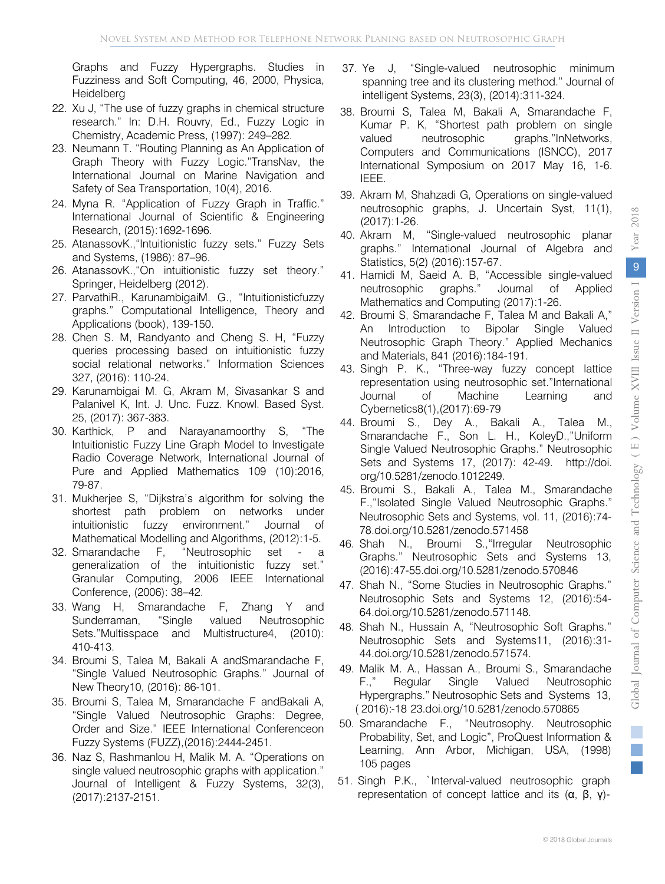Graphs and Fuzzy Hypergraphs. Studies in Fuzziness and Soft Computing, 46, 2000, Physica, **Heidelberg** 

- 22. Xu J, "The use of fuzzy graphs in chemical structure research." In: D.H. Rouvry, Ed., Fuzzy Logic in Chemistry, Academic Press, (1997): 249–282.
- Graph Theory with Fuzzy Logic."TransNav, the 23. Neumann T. "Routing Planning as An Application of International Journal on Marine Navigation and Safety of Sea Transportation, 10(4), 2016.
- 24. Myna R. "Application of Fuzzy Graph in Traffic." International Journal of Scientific & Engineering Research, (2015):1692-1696.
- 25. AtanassovK.,"Intuitionistic fuzzy sets." Fuzzy Sets and Systems, (1986): 87–96.
- 26. AtanassovK.,"On intuitionistic fuzzy set theory." Springer, Heidelberg (2012).
- 27. ParvathiR., KarunambigaiM. G., "Intuitionisticfuzzy graphs." Computational Intelligence, Theory and Applications (book), 139-150.
- 28. Chen S. M, Randyanto and Cheng S. H, "Fuzzy queries processing based on intuitionistic fuzzy social relational networks." Information Sciences 327, (2016): 110-24.
- 29. Karunambigai M. G, Akram M, Sivasankar S and Palanivel K, Int. J. Unc. Fuzz. Knowl. Based Syst. 25, (2017): 367-383.
- Intuitionistic Fuzzy Line Graph Model to Investigate 30. Karthick, P and Narayanamoorthy S, "The Radio Coverage Network, International Journal of Pure and Applied Mathematics 109 (10):2016, 79-87.
- 31. Mukherjee S, "Dijkstra's algorithm for solving the shortest path problem on networks under intuitionistic fuzzy environment." Journal of Mathematical Modelling and Algorithms, (2012):1-5.
- 32. Smarandache F, "Neutrosophic set a generalization of the intuitionistic fuzzy set." Granular Computing, 2006 IEEE International Conference, (2006): 38–42.
- 33. Wang H, Smarandache F, Zhang Y and Sunderraman, "Single valued Neutrosophic Sets."Multisspace and Multistructure4, (2010): 410-413.
- 34. Broumi S, Talea M, Bakali A andSmarandache F, "Single Valued Neutrosophic Graphs." Journal of New Theory10, (2016): 86-101.
- "Single Valued Neutrosophic Graphs: Degree, 35. Broumi S, Talea M, Smarandache F andBakali A, Order and Size." IEEE International Conferenceon Fuzzy Systems (FUZZ),(2016):2444-2451.
- 36. Naz S, Rashmanlou H, Malik M. A. "Operations on single valued neutrosophic graphs with application." Journal of Intelligent & Fuzzy Systems, 32(3), (2017):2137-2151.
- 37. Ye J, "Single-valued neutrosophic minimum spanning tree and its clustering method." Journal of intelligent Systems, 23(3), (2014):311-324.
- 38. Broumi S, Talea M, Bakali A, Smarandache F, Kumar P. K, "Shortest path problem on single valued neutrosophic graphs."InNetworks, Computers and Communications (ISNCC), 2017 International Symposium on 2017 May 16, 1-6. IEEE.
- 39. Akram M, Shahzadi G, Operations on single-valued neutrosophic graphs, J. Uncertain Syst, 11(1), (2017):1-26.
- 40. Akram M, "Single-valued neutrosophic planar graphs." International Journal of Algebra and Statistics, 5(2) (2016):157-67.
- 41. Hamidi M, Saeid A. B, "Accessible single-valued neutrosophic graphs." Journal of Applied Mathematics and Computing (2017):1-26.
- 42. Broumi S, Smarandache F, Talea M and Bakali A," An Introduction to Bipolar Single Valued Neutrosophic Graph Theory." Applied Mechanics and Materials, 841 (2016):184-191.
- 43. Singh P. K., "Three-way fuzzy concept lattice representation using neutrosophic set."International Journal of Machine Learning and Cybernetics8(1),(2017):69-79
- 44. Broumi S., Dey A., Bakali A., Ta[lea M.,](http://fs.gallup.unm.edu/NSS/UniformSingleValuedNeutrosophicGraphs.pdf)  [Smarandache F., Son L. H., Ko](http://fs.gallup.unm.edu/NSS/UniformSingleValuedNeutrosophicGraphs.pdf)leyD.,"Uniform Single Valued Neutrosophic Graphs." Neutrosophic Sets and Systems 17, (2017): 42-49. http://doi. [org/10.5281/zenodo.1012249.](http://fs.gallup.unm.edu/NSS/IsolatedSingleValuedNeutrosophicGraphs.pdf)
- 45. [Broumi S., Bakali A., Talea M.,](http://fs.gallup.unm.edu/NSS/IsolatedSingleValuedNeutrosophicGraphs.pdf) Smarandache [F.,"Isolated Single Valued Neutrosophic Graphs."](http://fs.gallup.unm.edu/NSS/IsolatedSingleValuedNeutrosophicGraphs.pdf)  [Neutrosophic Sets and Systems, vo](http://fs.gallup.unm.edu/NSS/IsolatedSingleValuedNeutrosophicGraphs.pdf)l. 11, (2016):74- [78.doi.org/10.5281/zenodo.571458](http://fs.gallup.unm.edu/NSS/IrregularNeutrosophicGraphs.pdf)
- 46. [Shah N., Broumi S.,"Irregular Neutrosophic](http://fs.gallup.unm.edu/NSS/IrregularNeutrosophicGraphs.pdf)  [Graphs." Neutrosophic Sets and Systems](http://fs.gallup.unm.edu/NSS/IrregularNeutrosophicGraphs.pdf) 13, [\(2016\):47-55.doi.org/10.5281/zenodo.570846](http://fs.gallup.unm.edu/NSS/SomeStudiesInNeutrosophicGraphs.pdf)
- 47. [Shah N., "Some Studies in Neutrosophic Graphs."](http://fs.gallup.unm.edu/NSS/SomeStudiesInNeutrosophicGraphs.pdf)  [Neutrosophic Sets and Systems](http://fs.gallup.unm.edu/NSS/SomeStudiesInNeutrosophicGraphs.pdf) 12, (2016):54- [64.doi.org/10.5281/zenodo.571148.](http://fs.gallup.unm.edu/NSS/NeutrosophicSoftGraphs.pdf)
- 48. [Shah N., Hussain A, "Neutrosophic Soft Graphs."](http://fs.gallup.unm.edu/NSS/NeutrosophicSoftGraphs.pdf)  [Neutrosophic Sets and Systems](http://fs.gallup.unm.edu/NSS/NeutrosophicSoftGraphs.pdf)11, (2016):31- [44.doi.org/10.5281/zenodo.571574.](http://fs.gallup.unm.edu/NSS/RegularSingleValuedNeutrosophic.pdf)
- 49. [Malik M. A., Hassan A., Broumi S., Smarandache](http://fs.gallup.unm.edu/NSS/RegularSingleValuedNeutrosophic.pdf)  [F.," Regular Single Valued Neutrosophic](http://fs.gallup.unm.edu/NSS/RegularSingleValuedNeutrosophic.pdf)  [Hypergraphs." Neutrosophic Sets and System](http://fs.gallup.unm.edu/NSS/RegularSingleValuedNeutrosophic.pdf)s 13, ( 2016): 18 - 23.doi.org/10.5281/zenodo.570865
- 50. Smarandache F., "Neutrosophy. Neutrosophic Probability, Set, and Logic", ProQuest Information & Learning, Ann Arbor, Michigan, USA, (1998) 105 pages
- 51. Singh P.K., `Interval-valued neutrosophic graph representation of concept lattice and its (α, β, γ)-